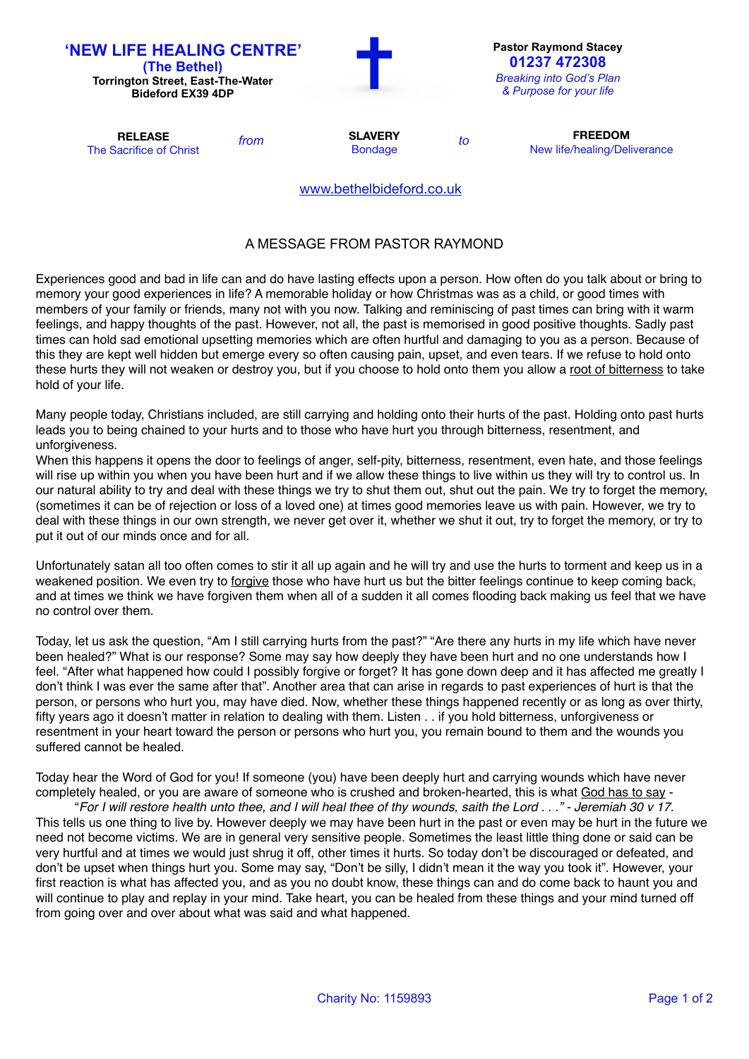| <b>'NEW LIFE HEALING CENTRE'</b><br>(The Bethel)<br><b>Torrington Street, East-The-Water</b><br><b>Bideford EX39 4DP</b> |      |                                  |    | <b>Pastor Raymond Stacey</b><br>01237 472308<br><b>Breaking into God's Plan</b><br>& Purpose for your life |
|--------------------------------------------------------------------------------------------------------------------------|------|----------------------------------|----|------------------------------------------------------------------------------------------------------------|
| <b>RELEASE</b><br>The Sacrifice of Christ                                                                                | from | <b>SLAVERY</b><br><b>Bondage</b> | to | <b>FREEDOM</b><br>New life/healing/Deliverance                                                             |
|                                                                                                                          |      | www.bethelbideford.co.uk         |    |                                                                                                            |

## A MESSAGE FROM PASTOR RAYMOND

Experiences good and bad in life can and do have lasting effects upon a person. How often do you talk about or bring to memory your good experiences in life? A memorable holiday or how Christmas was as a child, or good times with members of your family or friends, many not with you now. Talking and reminiscing of past times can bring with it warm feelings, and happy thoughts of the past. However, not all, the past is memorised in good positive thoughts. Sadly past times can hold sad emotional upsetting memories which are often hurtful and damaging to you as a person. Because of this they are kept well hidden but emerge every so often causing pain, upset, and even tears. If we refuse to hold onto these hurts they will not weaken or destroy you, but if you choose to hold onto them you allow a root of bitterness to take hold of your life.

Many people today, Christians included, are still carrying and holding onto their hurts of the past. Holding onto past hurts leads you to being chained to your hurts and to those who have hurt you through bitterness, resentment, and unforgiveness.

When this happens it opens the door to feelings of anger, self-pity, bitterness, resentment, even hate, and those feelings will rise up within you when you have been hurt and if we allow these things to live within us they will try to control us. In our natural ability to try and deal with these things we try to shut them out, shut out the pain. We try to forget the memory, (sometimes it can be of rejection or loss of a loved one) at times good memories leave us with pain. However, we try to deal with these things in our own strength, we never get over it, whether we shut it out, try to forget the memory, or try to put it out of our minds once and for all.

Unfortunately satan all too often comes to stir it all up again and he will try and use the hurts to torment and keep us in a weakened position. We even try to forgive those who have hurt us but the bitter feelings continue to keep coming back, and at times we think we have forgiven them when all of a sudden it all comes flooding back making us feel that we have no control over them.

Today, let us ask the question, "Am I still carrying hurts from the past?" "Are there any hurts in my life which have never been healed?" What is our response? Some may say how deeply they have been hurt and no one understands how I feel. "After what happened how could I possibly forgive or forget? It has gone down deep and it has affected me greatly I don't think I was ever the same after that". Another area that can arise in regards to past experiences of hurt is that the person, or persons who hurt you, may have died. Now, whether these things happened recently or as long as over thirty, fifty years ago it doesn't matter in relation to dealing with them. Listen . . if you hold bitterness, unforgiveness or resentment in your heart toward the person or persons who hurt you, you remain bound to them and the wounds you suffered cannot be healed.

Today hear the Word of God for you! If someone (you) have been deeply hurt and carrying wounds which have never completely healed, or you are aware of someone who is crushed and broken-hearted, this is what God has to say -

"*For I will restore health unto thee, and I will heal thee of thy wounds, saith the Lord . . ." - Jeremiah 30 v 17.* This tells us one thing to live by. However deeply we may have been hurt in the past or even may be hurt in the future we need not become victims. We are in general very sensitive people. Sometimes the least little thing done or said can be very hurtful and at times we would just shrug it off, other times it hurts. So today don't be discouraged or defeated, and don't be upset when things hurt you. Some may say, "Don't be silly, I didn't mean it the way you took it". However, your first reaction is what has affected you, and as you no doubt know, these things can and do come back to haunt you and will continue to play and replay in your mind. Take heart, you can be healed from these things and your mind turned off from going over and over about what was said and what happened.